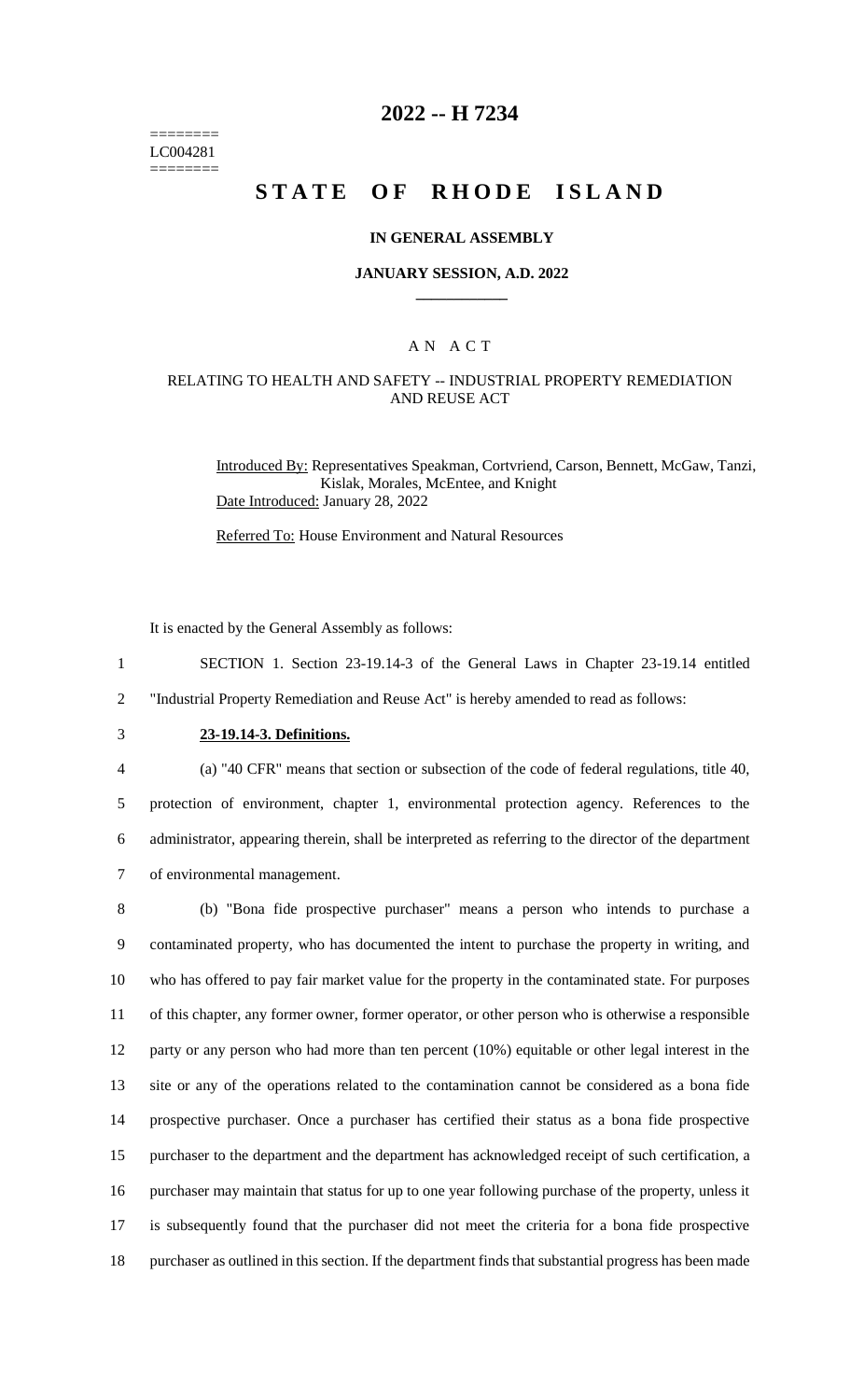======== LC004281 ========

# **2022 -- H 7234**

# **STATE OF RHODE ISLAND**

#### **IN GENERAL ASSEMBLY**

#### **JANUARY SESSION, A.D. 2022 \_\_\_\_\_\_\_\_\_\_\_\_**

### A N A C T

### RELATING TO HEALTH AND SAFETY -- INDUSTRIAL PROPERTY REMEDIATION AND REUSE ACT

Introduced By: Representatives Speakman, Cortvriend, Carson, Bennett, McGaw, Tanzi, Kislak, Morales, McEntee, and Knight Date Introduced: January 28, 2022

Referred To: House Environment and Natural Resources

It is enacted by the General Assembly as follows:

1 SECTION 1. Section 23-19.14-3 of the General Laws in Chapter 23-19.14 entitled 2 "Industrial Property Remediation and Reuse Act" is hereby amended to read as follows:

# 3 **23-19.14-3. Definitions.**

4 (a) "40 CFR" means that section or subsection of the code of federal regulations, title 40,

5 protection of environment, chapter 1, environmental protection agency. References to the 6 administrator, appearing therein, shall be interpreted as referring to the director of the department 7 of environmental management.

 (b) "Bona fide prospective purchaser" means a person who intends to purchase a contaminated property, who has documented the intent to purchase the property in writing, and who has offered to pay fair market value for the property in the contaminated state. For purposes of this chapter, any former owner, former operator, or other person who is otherwise a responsible 12 party or any person who had more than ten percent (10%) equitable or other legal interest in the site or any of the operations related to the contamination cannot be considered as a bona fide prospective purchaser. Once a purchaser has certified their status as a bona fide prospective purchaser to the department and the department has acknowledged receipt of such certification, a purchaser may maintain that status for up to one year following purchase of the property, unless it is subsequently found that the purchaser did not meet the criteria for a bona fide prospective purchaser as outlined in this section. If the department finds that substantial progress has been made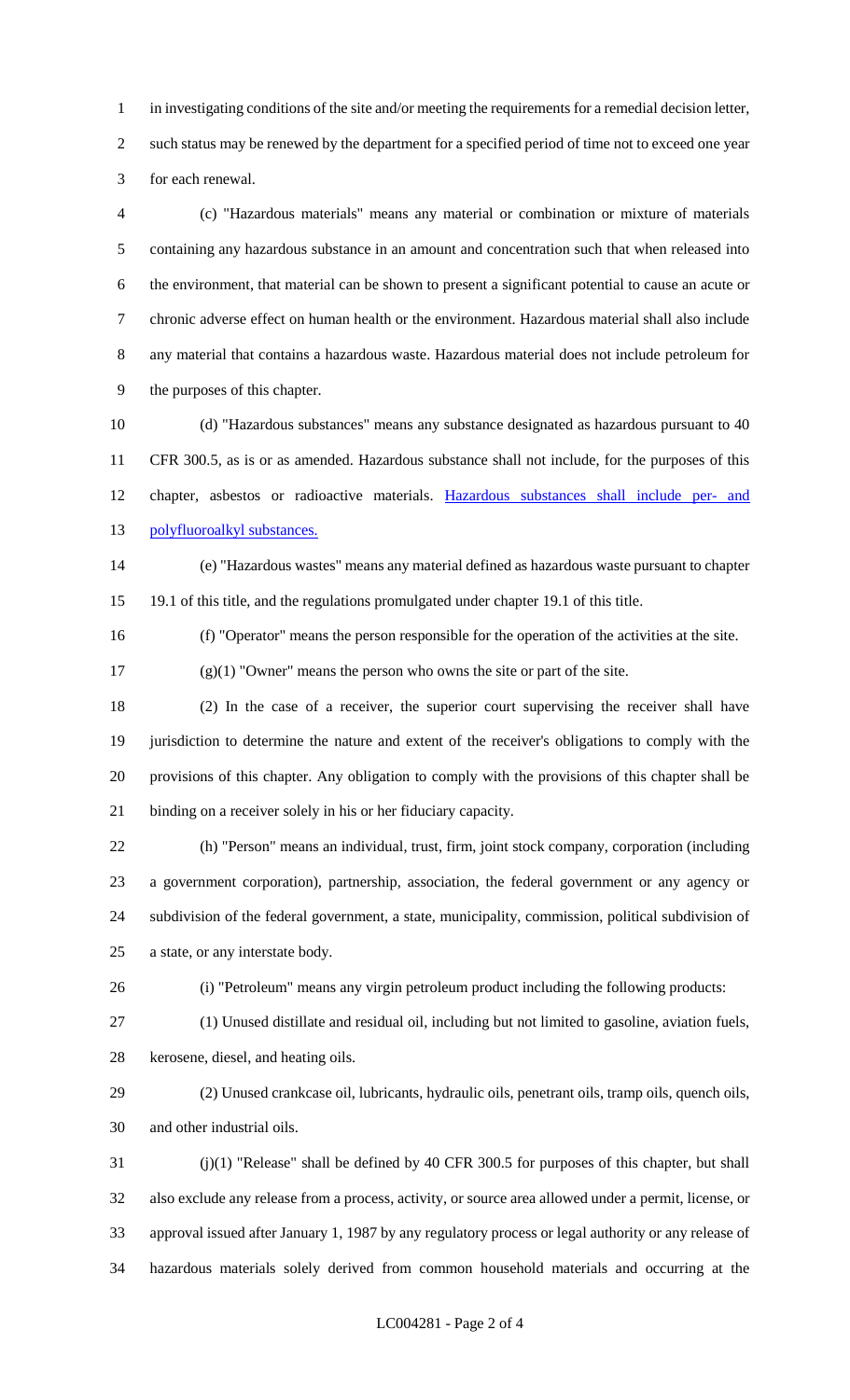in investigating conditions of the site and/or meeting the requirements for a remedial decision letter, such status may be renewed by the department for a specified period of time not to exceed one year for each renewal.

 (c) "Hazardous materials" means any material or combination or mixture of materials containing any hazardous substance in an amount and concentration such that when released into the environment, that material can be shown to present a significant potential to cause an acute or chronic adverse effect on human health or the environment. Hazardous material shall also include any material that contains a hazardous waste. Hazardous material does not include petroleum for the purposes of this chapter.

 (d) "Hazardous substances" means any substance designated as hazardous pursuant to 40 CFR 300.5, as is or as amended. Hazardous substance shall not include, for the purposes of this chapter, asbestos or radioactive materials. Hazardous substances shall include per- and polyfluoroalkyl substances.

 (e) "Hazardous wastes" means any material defined as hazardous waste pursuant to chapter 19.1 of this title, and the regulations promulgated under chapter 19.1 of this title.

(f) "Operator" means the person responsible for the operation of the activities at the site.

(g)(1) "Owner" means the person who owns the site or part of the site.

 (2) In the case of a receiver, the superior court supervising the receiver shall have jurisdiction to determine the nature and extent of the receiver's obligations to comply with the provisions of this chapter. Any obligation to comply with the provisions of this chapter shall be binding on a receiver solely in his or her fiduciary capacity.

 (h) "Person" means an individual, trust, firm, joint stock company, corporation (including a government corporation), partnership, association, the federal government or any agency or subdivision of the federal government, a state, municipality, commission, political subdivision of a state, or any interstate body.

(i) "Petroleum" means any virgin petroleum product including the following products:

(1) Unused distillate and residual oil, including but not limited to gasoline, aviation fuels,

kerosene, diesel, and heating oils.

 (2) Unused crankcase oil, lubricants, hydraulic oils, penetrant oils, tramp oils, quench oils, and other industrial oils.

 (j)(1) "Release" shall be defined by 40 CFR 300.5 for purposes of this chapter, but shall also exclude any release from a process, activity, or source area allowed under a permit, license, or approval issued after January 1, 1987 by any regulatory process or legal authority or any release of hazardous materials solely derived from common household materials and occurring at the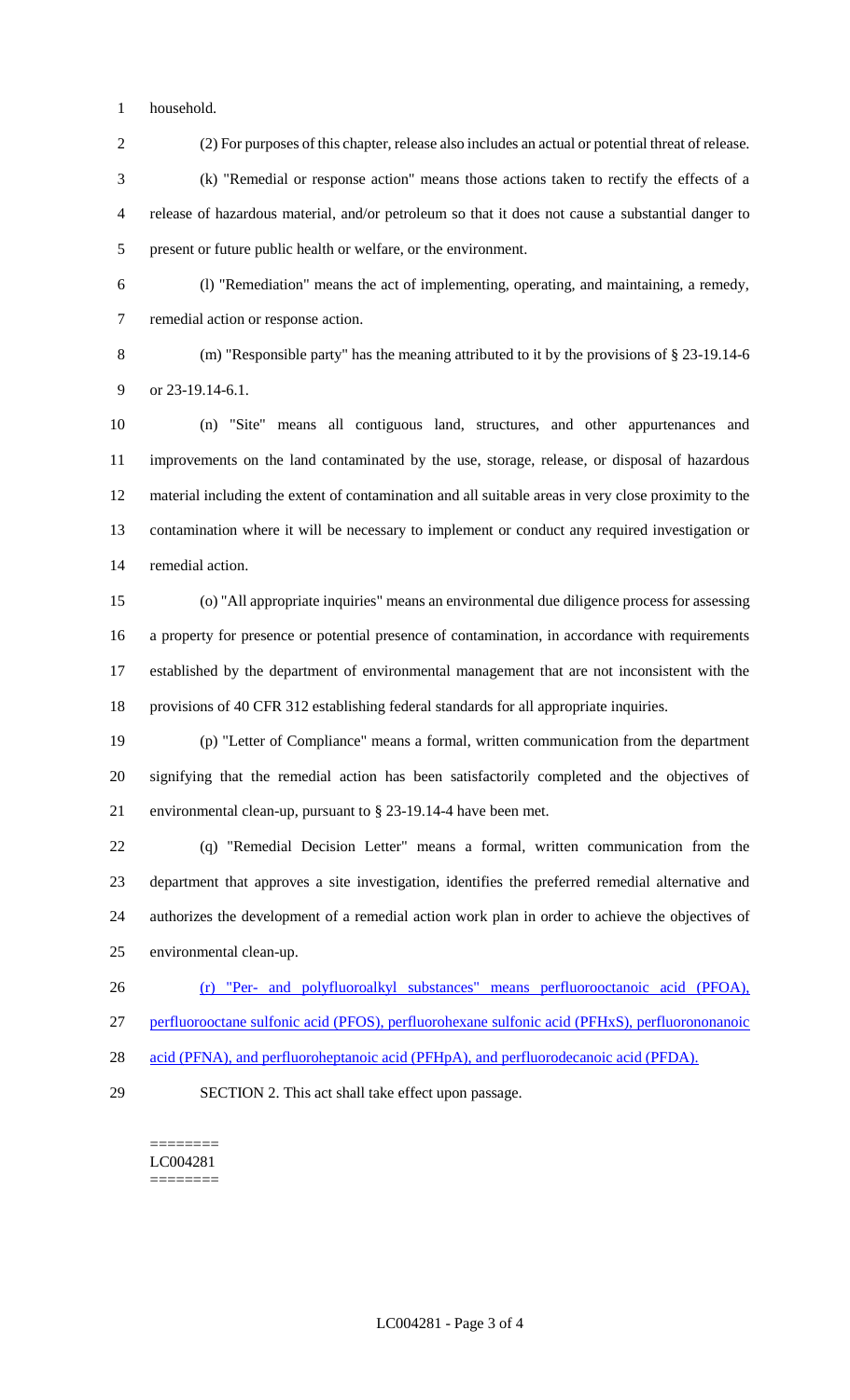household.

(2) For purposes of this chapter, release also includes an actual or potential threat of release.

 (k) "Remedial or response action" means those actions taken to rectify the effects of a release of hazardous material, and/or petroleum so that it does not cause a substantial danger to present or future public health or welfare, or the environment.

 (l) "Remediation" means the act of implementing, operating, and maintaining, a remedy, remedial action or response action.

 (m) "Responsible party" has the meaning attributed to it by the provisions of § 23-19.14-6 9 or 23-19.14-6.1.

 (n) "Site" means all contiguous land, structures, and other appurtenances and improvements on the land contaminated by the use, storage, release, or disposal of hazardous material including the extent of contamination and all suitable areas in very close proximity to the contamination where it will be necessary to implement or conduct any required investigation or remedial action.

 (o) "All appropriate inquiries" means an environmental due diligence process for assessing a property for presence or potential presence of contamination, in accordance with requirements established by the department of environmental management that are not inconsistent with the provisions of 40 CFR 312 establishing federal standards for all appropriate inquiries.

 (p) "Letter of Compliance" means a formal, written communication from the department signifying that the remedial action has been satisfactorily completed and the objectives of environmental clean-up, pursuant to § 23-19.14-4 have been met.

 (q) "Remedial Decision Letter" means a formal, written communication from the department that approves a site investigation, identifies the preferred remedial alternative and authorizes the development of a remedial action work plan in order to achieve the objectives of environmental clean-up.

 (r) "Per- and polyfluoroalkyl substances" means perfluorooctanoic acid (PFOA), perfluorooctane sulfonic acid (PFOS), perfluorohexane sulfonic acid (PFHxS), perfluorononanoic

- 28 acid (PFNA), and perfluoroheptanoic acid (PFHpA), and perfluorodecanoic acid (PFDA).
- 

SECTION 2. This act shall take effect upon passage.

======== LC004281 ========